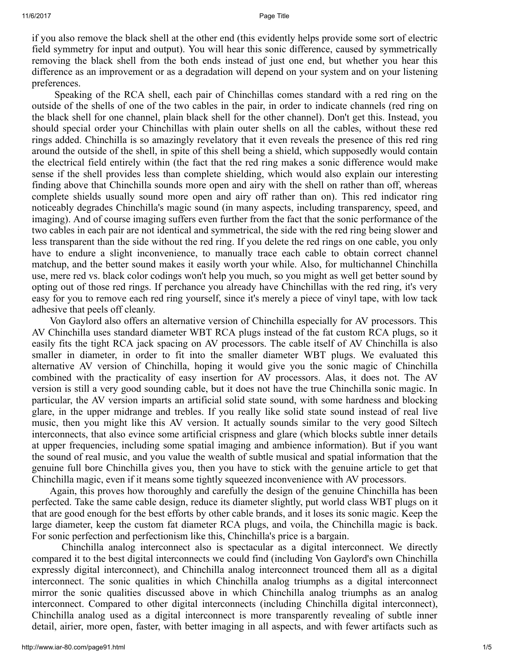if you also remove the black shell at the other end (this evidently helps provide some sort of electric field symmetry for input and output). You will hear this sonic difference, caused by symmetrically removing the black shell from the both ends instead of just one end, but whether you hear this difference as an improvement or as a degradation will depend on your system and on your listening preferences.

Speaking of the RCA shell, each pair of Chinchillas comes standard with a red ring on the outside of the shells of one of the two cables in the pair, in order to indicate channels (red ring on the black shell for one channel, plain black shell for the other channel). Don't get this. Instead, you should special order your Chinchillas with plain outer shells on all the cables, without these red rings added. Chinchilla is so amazingly revelatory that it even reveals the presence of this red ring around the outside of the shell, in spite of this shell being a shield, which supposedly would contain the electrical field entirely within (the fact that the red ring makes a sonic difference would make sense if the shell provides less than complete shielding, which would also explain our interesting finding above that Chinchilla sounds more open and airy with the shell on rather than off, whereas complete shields usually sound more open and airy off rather than on). This red indicator ring noticeably degrades Chinchilla's magic sound (in many aspects, including transparency, speed, and imaging). And of course imaging suffers even further from the fact that the sonic performance of the two cables in each pair are not identical and symmetrical, the side with the red ring being slower and less transparent than the side without the red ring. If you delete the red rings on one cable, you only have to endure a slight inconvenience, to manually trace each cable to obtain correct channel matchup, and the better sound makes it easily worth your while. Also, for multichannel Chinchilla use, mere red vs. black color codings won't help you much, so you might as well get better sound by opting out of those red rings. If perchance you already have Chinchillas with the red ring, it's very easy for you to remove each red ring yourself, since it's merely a piece of vinyl tape, with low tack adhesive that peels off cleanly.

Von Gaylord also offers an alternative version of Chinchilla especially for AV processors. This AV Chinchilla uses standard diameter WBT RCA plugs instead of the fat custom RCA plugs, so it easily fits the tight RCA jack spacing on AV processors. The cable itself of AV Chinchilla is also smaller in diameter, in order to fit into the smaller diameter WBT plugs. We evaluated this alternative AV version of Chinchilla, hoping it would give you the sonic magic of Chinchilla combined with the practicality of easy insertion for AV processors. Alas, it does not. The AV version is still a very good sounding cable, but it does not have the true Chinchilla sonic magic. In particular, the AV version imparts an artificial solid state sound, with some hardness and blocking glare, in the upper midrange and trebles. If you really like solid state sound instead of real live music, then you might like this AV version. It actually sounds similar to the very good Siltech interconnects, that also evince some artificial crispness and glare (which blocks subtle inner details at upper frequencies, including some spatial imaging and ambience information). But if you want the sound of real music, and you value the wealth of subtle musical and spatial information that the genuine full bore Chinchilla gives you, then you have to stick with the genuine article to get that Chinchilla magic, even if it means some tightly squeezed inconvenience with AV processors.

Again, this proves how thoroughly and carefully the design of the genuine Chinchilla has been perfected. Take the same cable design, reduce its diameter slightly, put world class WBT plugs on it that are good enough for the best efforts by other cable brands, and it loses its sonic magic. Keep the large diameter, keep the custom fat diameter RCA plugs, and voila, the Chinchilla magic is back. For sonic perfection and perfectionism like this, Chinchilla's price is a bargain.

Chinchilla analog interconnect also is spectacular as a digital interconnect. We directly compared it to the best digital interconnects we could find (including Von Gaylord's own Chinchilla expressly digital interconnect), and Chinchilla analog interconnect trounced them all as a digital interconnect. The sonic qualities in which Chinchilla analog triumphs as a digital interconnect mirror the sonic qualities discussed above in which Chinchilla analog triumphs as an analog interconnect. Compared to other digital interconnects (including Chinchilla digital interconnect), Chinchilla analog used as a digital interconnect is more transparently revealing of subtle inner detail, airier, more open, faster, with better imaging in all aspects, and with fewer artifacts such as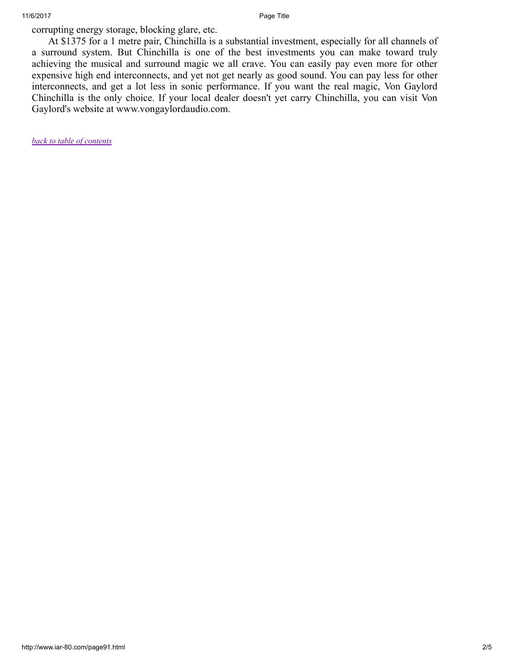corrupting energy storage, blocking glare, etc.

At \$1375 for a 1 metre pair, Chinchilla is a substantial investment, especially for all channels of a surround system. But Chinchilla is one of the best investments you can make toward truly achieving the musical and surround magic we all crave. You can easily pay even more for other expensive high end interconnects, and yet not get nearly as good sound. You can pay less for other interconnects, and get a lot less in sonic performance. If you want the real magic, Von Gaylord Chinchilla is the only choice. If your local dealer doesn't yet carry Chinchilla, you can visit Von Gaylord's website at www.vongaylordaudio.com.

*[back to table of contents](http://www.iar-80.com/index.html)*